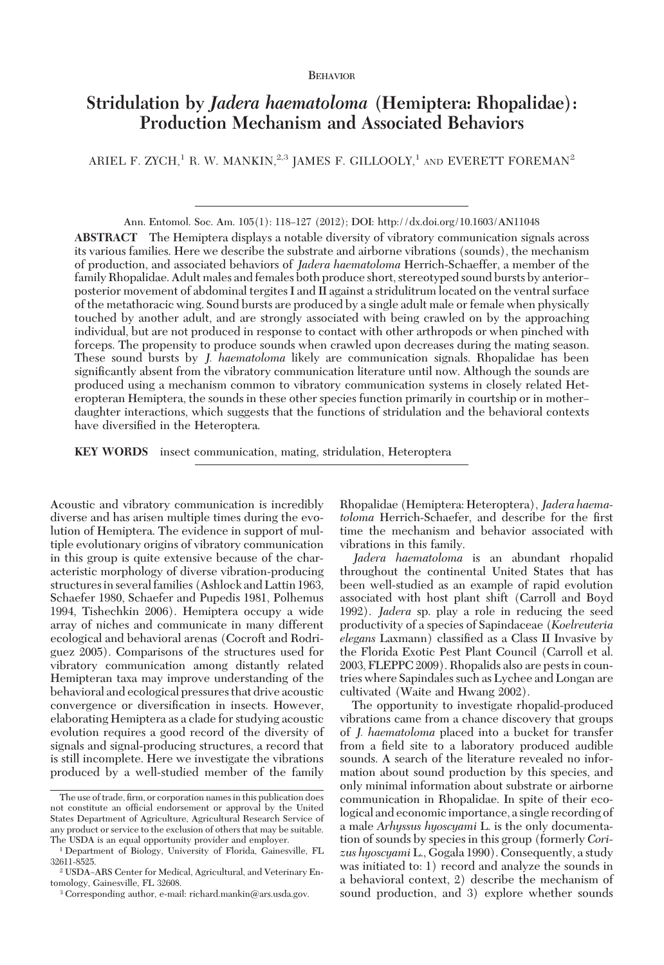## BEHAVIOR

# **Stridulation by** *Jadera haematoloma* **(Hemiptera: Rhopalidae): Production Mechanism and Associated Behaviors**

ARIEL F. ZYCH,<sup>1</sup> R. W. MANKIN,<sup>2,3</sup> JAMES F. GILLOOLY,<sup>1</sup> AND EVERETT FOREMAN<sup>2</sup>

Ann. Entomol. Soc. Am. 105(1): 118–127 (2012); DOI: http://dx.doi.org/10.1603/AN11048 **ABSTRACT** The Hemiptera displays a notable diversity of vibratory communication signals across its various families. Here we describe the substrate and airborne vibrations (sounds), the mechanism of production, and associated behaviors of *Jadera haematoloma* Herrich-Schaeffer, a member of the family Rhopalidae. Adult males and females both produce short, stereotyped sound bursts by anteriorposterior movement of abdominal tergites I and II against a stridulitrum located on the ventral surface of the metathoracic wing. Sound bursts are produced by a single adult male or female when physically touched by another adult, and are strongly associated with being crawled on by the approaching individual, but are not produced in response to contact with other arthropods or when pinched with forceps. The propensity to produce sounds when crawled upon decreases during the mating season. These sound bursts by *J. haematoloma* likely are communication signals. Rhopalidae has been significantly absent from the vibratory communication literature until now. Although the sounds are produced using a mechanism common to vibratory communication systems in closely related Heteropteran Hemiptera, the sounds in these other species function primarily in courtship or in mother daughter interactions, which suggests that the functions of stridulation and the behavioral contexts have diversified in the Heteroptera.

**KEY WORDS** insect communication, mating, stridulation, Heteroptera

Acoustic and vibratory communication is incredibly diverse and has arisen multiple times during the evolution of Hemiptera. The evidence in support of multiple evolutionary origins of vibratory communication in this group is quite extensive because of the characteristic morphology of diverse vibration-producing structuresin several families (Ashlock and Lattin 1963, Schaefer 1980, Schaefer and Pupedis 1981, Polhemus 1994, Tishechkin 2006). Hemiptera occupy a wide array of niches and communicate in many different ecological and behavioral arenas (Cocroft and Rodriguez 2005). Comparisons of the structures used for vibratory communication among distantly related Hemipteran taxa may improve understanding of the behavioral and ecological pressures that drive acoustic convergence or diversification in insects. However, elaborating Hemiptera as a clade for studying acoustic evolution requires a good record of the diversity of signals and signal-producing structures, a record that is still incomplete. Here we investigate the vibrations produced by a well-studied member of the family

Rhopalidae (Hemiptera: Heteroptera), *Jadera haematoloma* Herrich-Schaefer, and describe for the first time the mechanism and behavior associated with vibrations in this family.

*Jadera haematoloma* is an abundant rhopalid throughout the continental United States that has been well-studied as an example of rapid evolution associated with host plant shift (Carroll and Boyd 1992). *Jadera* sp. play a role in reducing the seed productivity of a species of Sapindaceae (*Koelreuteria elegans* Laxmann) classified as a Class II Invasive by the Florida Exotic Pest Plant Council (Carroll et al. 2003, FLEPPC 2009). Rhopalids also are pests in countries where Sapindales such as Lychee and Longan are cultivated (Waite and Hwang 2002).

The opportunity to investigate rhopalid-produced vibrations came from a chance discovery that groups of *J. haematoloma* placed into a bucket for transfer from a field site to a laboratory produced audible sounds. A search of the literature revealed no information about sound production by this species, and only minimal information about substrate or airborne communication in Rhopalidae. In spite of their ecological and economicimportance, a single recording of a male *Arhyssus hyoscyami* L. is the only documentation of sounds by species in this group (formerly *Corizus hyoscyami* L., Gogala 1990). Consequently, a study was initiated to: 1) record and analyze the sounds in a behavioral context, 2) describe the mechanism of sound production, and 3) explore whether sounds

The use of trade, firm, or corporation names in this publication does not constitute an official endorsement or approval by the United States Department of Agriculture, Agricultural Research Service of any product or service to the exclusion of others that may be suitable. The USDA is an equal opportunity provider and employer.

<sup>1</sup> Department of Biology, University of Florida, Gainesville, FL 32611-8525.

<sup>&</sup>lt;sup>2</sup> USDA-ARS Center for Medical, Agricultural, and Veterinary Entomology, Gainesville, FL 32608.

<sup>3</sup> Corresponding author, e-mail: richard.mankin@ars.usda.gov.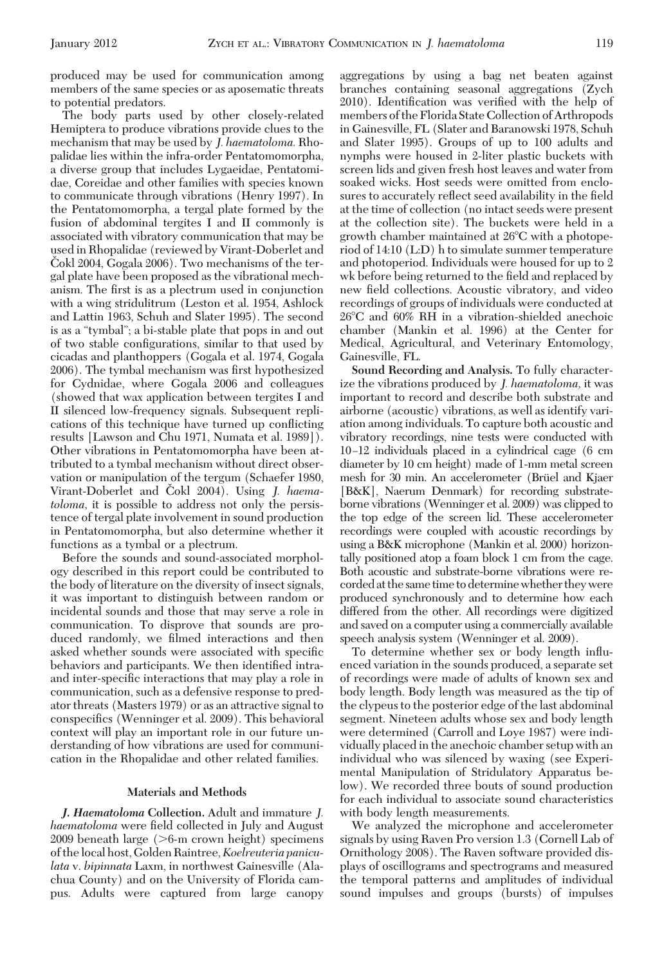produced may be used for communication among members of the same species or as aposematic threats to potential predators.

The body parts used by other closely-related Hemiptera to produce vibrations provide clues to the mechanism that may be used by *J. haematoloma.* Rhopalidae lies within the infra-order Pentatomomorpha, a diverse group that includes Lygaeidae, Pentatomidae, Coreidae and other families with species known to communicate through vibrations (Henry 1997). In the Pentatomomorpha, a tergal plate formed by the fusion of abdominal tergites I and II commonly is associated with vibratory communication that may be used in Rhopalidae (reviewed by Virant-Doberlet and Cokl 2004, Gogala 2006). Two mechanisms of the tergal plate have been proposed as the vibrational mechanism. The first is as a plectrum used in conjunction with a wing stridulitrum (Leston et al. 1954, Ashlock and Lattin 1963, Schuh and Slater 1995). The second is as a "tymbal"; a bi-stable plate that pops in and out of two stable configurations, similar to that used by cicadas and planthoppers (Gogala et al. 1974, Gogala 2006). The tymbal mechanism was first hypothesized for Cydnidae, where Gogala 2006 and colleagues (showed that wax application between tergites I and II silenced low-frequency signals. Subsequent replications of this technique have turned up conßicting results [Lawson and Chu 1971, Numata et al. 1989]). Other vibrations in Pentatomomorpha have been attributed to a tymbal mechanism without direct observation or manipulation of the tergum (Schaefer 1980, Virant-Doberlet and Čokl 2004). Using *J. haematoloma,* it is possible to address not only the persistence of tergal plate involvement in sound production in Pentatomomorpha, but also determine whether it functions as a tymbal or a plectrum.

Before the sounds and sound-associated morphology described in this report could be contributed to the body of literature on the diversity of insect signals, it was important to distinguish between random or incidental sounds and those that may serve a role in communication. To disprove that sounds are produced randomly, we filmed interactions and then asked whether sounds were associated with specific behaviors and participants. We then identified intraand inter-specific interactions that may play a role in communication, such as a defensive response to predator threats (Masters 1979) or as an attractive signal to conspecifics (Wenninger et al. 2009). This behavioral context will play an important role in our future understanding of how vibrations are used for communication in the Rhopalidae and other related families.

## **Materials and Methods**

*J. Haematoloma* **Collection.** Adult and immature *J. haematoloma* were field collected in July and August  $2009$  beneath large ( $>6$ -m crown height) specimens of thelocal host, GoldenRaintree,*Koelreuteria paniculata* v. *bipinnata* Laxm, in northwest Gainesville (Alachua County) and on the University of Florida campus. Adults were captured from large canopy

aggregations by using a bag net beaten against branches containing seasonal aggregations (Zych 2010). Identification was verified with the help of members of the Florida State Collection of Arthropods in Gainesville, FL (Slater and Baranowski 1978, Schuh and Slater 1995). Groups of up to 100 adults and nymphs were housed in 2-liter plastic buckets with screen lids and given fresh host leaves and water from soaked wicks. Host seeds were omitted from enclosures to accurately reflect seed availability in the field at the time of collection (no intact seeds were present at the collection site). The buckets were held in a growth chamber maintained at 26-C with a photoperiod of 14:10 (L:D) h to simulate summer temperature and photoperiod. Individuals were housed for up to 2 wk before being returned to the field and replaced by new field collections. Acoustic vibratory, and video recordings of groups of individuals were conducted at 26-C and 60% RH in a vibration-shielded anechoic chamber (Mankin et al. 1996) at the Center for Medical, Agricultural, and Veterinary Entomology, Gainesville, FL.

**Sound Recording and Analysis.** To fully characterize the vibrations produced by *J. haematoloma,* it was important to record and describe both substrate and airborne (acoustic) vibrations, as well as identify variation among individuals. To capture both acoustic and vibratory recordings, nine tests were conducted with 10Ð12 individuals placed in a cylindrical cage (6 cm diameter by 10 cm height) made of 1-mm metal screen mesh for 30 min. An accelerometer (Brüel and Kjaer [B&K], Naerum Denmark) for recording substrateborne vibrations (Wenninger et al. 2009) was clipped to the top edge of the screen lid. These accelerometer recordings were coupled with acoustic recordings by using a B&K microphone (Mankin et al. 2000) horizontally positioned atop a foam block 1 cm from the cage. Both acoustic and substrate-borne vibrations were recordedat the same time to determinewhether theywere produced synchronously and to determine how each differed from the other. All recordings were digitized and saved on a computer using a commercially available speech analysis system (Wenninger et al. 2009).

To determine whether sex or body length inßuenced variation in the sounds produced, a separate set of recordings were made of adults of known sex and body length. Body length was measured as the tip of the clypeus to the posterior edge of the last abdominal segment. Nineteen adults whose sex and body length were determined (Carroll and Loye 1987) were individually placed in the anechoic chamber setup with an individual who was silenced by waxing (see Experimental Manipulation of Stridulatory Apparatus below). We recorded three bouts of sound production for each individual to associate sound characteristics with body length measurements.

We analyzed the microphone and accelerometer signals by using Raven Pro version 1.3 (Cornell Lab of Ornithology 2008). The Raven software provided displays of oscillograms and spectrograms and measured the temporal patterns and amplitudes of individual sound impulses and groups (bursts) of impulses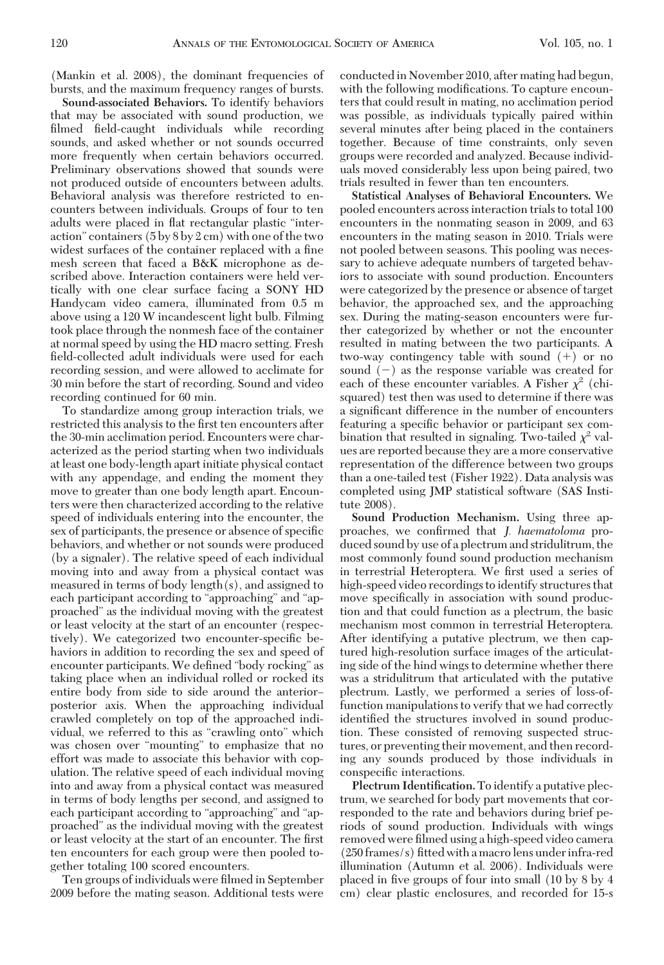(Mankin et al. 2008), the dominant frequencies of bursts, and the maximum frequency ranges of bursts.

**Sound-associated Behaviors.** To identify behaviors that may be associated with sound production, we filmed field-caught individuals while recording sounds, and asked whether or not sounds occurred more frequently when certain behaviors occurred. Preliminary observations showed that sounds were not produced outside of encounters between adults. Behavioral analysis was therefore restricted to encounters between individuals. Groups of four to ten adults were placed in ßat rectangular plastic "interaction" containers (5 by 8 by 2 cm) with one of the two widest surfaces of the container replaced with a fine mesh screen that faced a B&K microphone as described above. Interaction containers were held vertically with one clear surface facing a SONY HD Handycam video camera, illuminated from 0.5 m above using a 120 W incandescent light bulb. Filming took place through the nonmesh face of the container at normal speed by using the HD macro setting. Fresh field-collected adult individuals were used for each recording session, and were allowed to acclimate for 30 min before the start of recording. Sound and video recording continued for 60 min.

To standardize among group interaction trials, we restricted this analysis to the first ten encounters after the 30-min acclimation period. Encounters were characterized as the period starting when two individuals at least one body-length apart initiate physical contact with any appendage, and ending the moment they move to greater than one body length apart. Encounters were then characterized according to the relative speed of individuals entering into the encounter, the sex of participants, the presence or absence of specific behaviors, and whether or not sounds were produced (by a signaler). The relative speed of each individual moving into and away from a physical contact was measured in terms of body length(s), and assigned to each participant according to "approaching" and "approached" as the individual moving with the greatest or least velocity at the start of an encounter (respectively). We categorized two encounter-specific behaviors in addition to recording the sex and speed of encounter participants. We defined "body rocking" as taking place when an individual rolled or rocked its entire body from side to side around the anteriorposterior axis. When the approaching individual crawled completely on top of the approached individual, we referred to this as "crawling onto" which was chosen over "mounting" to emphasize that no effort was made to associate this behavior with copulation. The relative speed of each individual moving into and away from a physical contact was measured in terms of body lengths per second, and assigned to each participant according to "approaching" and "approached" as the individual moving with the greatest or least velocity at the start of an encounter. The first ten encounters for each group were then pooled together totaling 100 scored encounters.

Ten groups of individuals were filmed in September 2009 before the mating season. Additional tests were conducted in November 2010, after mating had begun, with the following modifications. To capture encounters that could result in mating, no acclimation period was possible, as individuals typically paired within several minutes after being placed in the containers together. Because of time constraints, only seven groups were recorded and analyzed. Because individuals moved considerably less upon being paired, two trials resulted in fewer than ten encounters.

**Statistical Analyses of Behavioral Encounters.** We pooled encounters across interaction trials to total 100 encounters in the nonmating season in 2009, and 63 encounters in the mating season in 2010. Trials were not pooled between seasons. This pooling was necessary to achieve adequate numbers of targeted behaviors to associate with sound production. Encounters were categorized by the presence or absence of target behavior, the approached sex, and the approaching sex. During the mating-season encounters were further categorized by whether or not the encounter resulted in mating between the two participants. A two-way contingency table with sound  $(+)$  or no sound  $(-)$  as the response variable was created for each of these encounter variables. A Fisher  $\chi^2$  (chisquared) test then was used to determine if there was a significant difference in the number of encounters featuring a specific behavior or participant sex combination that resulted in signaling. Two-tailed  $\chi^2$  values are reported because they are a more conservative representation of the difference between two groups than a one-tailed test (Fisher 1922). Data analysis was completed using JMP statistical software (SAS Institute 2008).

**Sound Production Mechanism.** Using three approaches, we confirmed that *J. haematoloma* produced sound by use of a plectrum and stridulitrum, the most commonly found sound production mechanism in terrestrial Heteroptera. We first used a series of high-speed video recordings to identify structures that move specifically in association with sound production and that could function as a plectrum, the basic mechanism most common in terrestrial Heteroptera. After identifying a putative plectrum, we then captured high-resolution surface images of the articulating side of the hind wings to determine whether there was a stridulitrum that articulated with the putative plectrum. Lastly, we performed a series of loss-offunction manipulations to verify that we had correctly identified the structures involved in sound production. These consisted of removing suspected structures, or preventing their movement, and then recording any sounds produced by those individuals in conspecific interactions.

**Plectrum Identification.**To identify a putative plectrum, we searched for body part movements that corresponded to the rate and behaviors during brief periods of sound production. Individuals with wings removed were filmed using a high-speed video camera  $(250$  frames/s) fitted with a macrolens under infra-red illumination (Autumn et al. 2006). Individuals were placed in five groups of four into small  $(10 \text{ by } 8 \text{ by } 4$ cm) clear plastic enclosures, and recorded for 15-s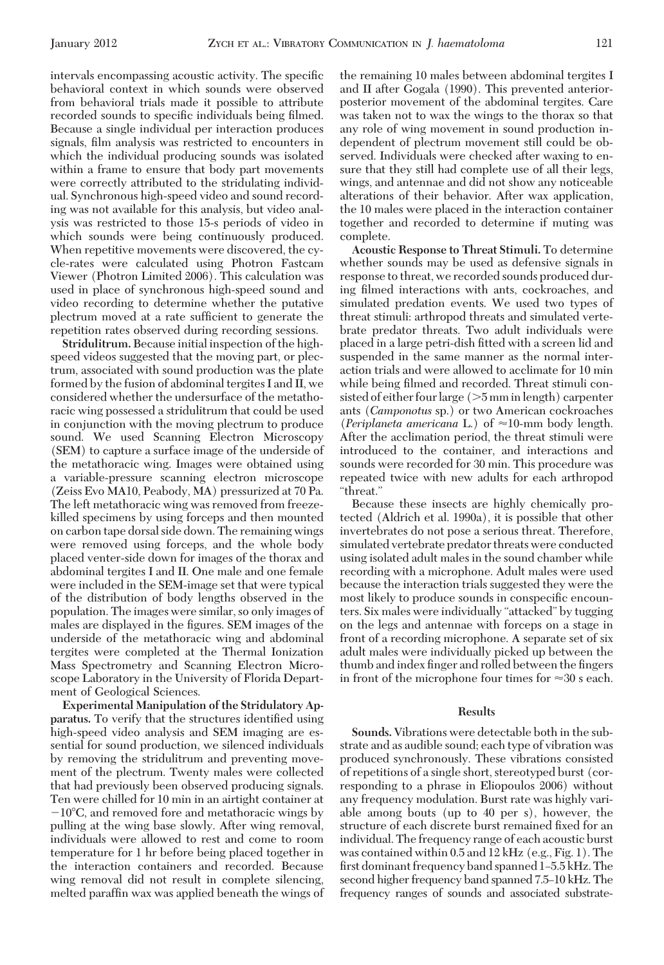intervals encompassing acoustic activity. The specific behavioral context in which sounds were observed from behavioral trials made it possible to attribute recorded sounds to specific individuals being filmed. Because a single individual per interaction produces signals, film analysis was restricted to encounters in which the individual producing sounds was isolated within a frame to ensure that body part movements were correctly attributed to the stridulating individual. Synchronous high-speed video and sound recording was not available for this analysis, but video analysis was restricted to those 15-s periods of video in which sounds were being continuously produced. When repetitive movements were discovered, the cycle-rates were calculated using Photron Fastcam Viewer (Photron Limited 2006). This calculation was used in place of synchronous high-speed sound and video recording to determine whether the putative plectrum moved at a rate sufficient to generate the repetition rates observed during recording sessions.

**Stridulitrum.** Because initial inspection of the highspeed videos suggested that the moving part, or plectrum, associated with sound production was the plate formed by the fusion of abdominal tergites I and II, we considered whether the undersurface of the metathoracic wing possessed a stridulitrum that could be used in conjunction with the moving plectrum to produce sound. We used Scanning Electron Microscopy (SEM) to capture a surface image of the underside of the metathoracic wing. Images were obtained using a variable-pressure scanning electron microscope (Zeiss Evo MA10, Peabody, MA) pressurized at 70 Pa. The left metathoracic wing was removed from freezekilled specimens by using forceps and then mounted on carbon tape dorsal side down. The remaining wings were removed using forceps, and the whole body placed venter-side down for images of the thorax and abdominal tergites I and II. One male and one female were included in the SEM-image set that were typical of the distribution of body lengths observed in the population. The images were similar, so only images of males are displayed in the figures. SEM images of the underside of the metathoracic wing and abdominal tergites were completed at the Thermal Ionization Mass Spectrometry and Scanning Electron Microscope Laboratory in the University of Florida Department of Geological Sciences.

**Experimental Manipulation of the Stridulatory Apparatus.** To verify that the structures identified using high-speed video analysis and SEM imaging are essential for sound production, we silenced individuals by removing the stridulitrum and preventing movement of the plectrum. Twenty males were collected that had previously been observed producing signals. Ten were chilled for 10 min in an airtight container at  $-10^{\circ}$ C, and removed fore and metathoracic wings by pulling at the wing base slowly. After wing removal, individuals were allowed to rest and come to room temperature for 1 hr before being placed together in the interaction containers and recorded. Because wing removal did not result in complete silencing, melted paraffin wax was applied beneath the wings of the remaining 10 males between abdominal tergites I and II after Gogala (1990). This prevented anteriorposterior movement of the abdominal tergites. Care was taken not to wax the wings to the thorax so that any role of wing movement in sound production independent of plectrum movement still could be observed. Individuals were checked after waxing to ensure that they still had complete use of all their legs, wings, and antennae and did not show any noticeable alterations of their behavior. After wax application, the 10 males were placed in the interaction container together and recorded to determine if muting was complete.

**Acoustic Response to Threat Stimuli.** To determine whether sounds may be used as defensive signals in response to threat, we recorded sounds produced during filmed interactions with ants, cockroaches, and simulated predation events. We used two types of threat stimuli: arthropod threats and simulated vertebrate predator threats. Two adult individuals were placed in a large petri-dish fitted with a screen lid and suspended in the same manner as the normal interaction trials and were allowed to acclimate for 10 min while being filmed and recorded. Threat stimuli consisted of either four large  $(>5$  mm in length) carpenter ants (*Camponotus* sp.) or two American cockroaches (*Periplaneta americana* L.) of  $\approx$ 10-mm body length. After the acclimation period, the threat stimuli were introduced to the container, and interactions and sounds were recorded for 30 min. This procedure was repeated twice with new adults for each arthropod "threat."

Because these insects are highly chemically protected (Aldrich et al. 1990a), it is possible that other invertebrates do not pose a serious threat. Therefore, simulated vertebrate predator threats were conducted using isolated adult males in the sound chamber while recording with a microphone. Adult males were used because the interaction trials suggested they were the most likely to produce sounds in conspecific encounters. Six males were individually "attacked" by tugging on the legs and antennae with forceps on a stage in front of a recording microphone. A separate set of six adult males were individually picked up between the thumb and index finger and rolled between the fingers in front of the microphone four times for  $\approx 30$  s each.

#### **Results**

**Sounds.** Vibrations were detectable both in the substrate and as audible sound; each type of vibration was produced synchronously. These vibrations consisted of repetitions of a single short, stereotyped burst (corresponding to a phrase in Eliopoulos 2006) without any frequency modulation. Burst rate was highly variable among bouts (up to 40 per s), however, the structure of each discrete burst remained fixed for an individual. The frequency range of each acoustic burst was contained within 0.5 and 12 kHz (e.g., Fig. 1). The first dominant frequency band spanned 1–5.5 kHz. The second higher frequency band spanned 7.5–10 kHz. The frequency ranges of sounds and associated substrate-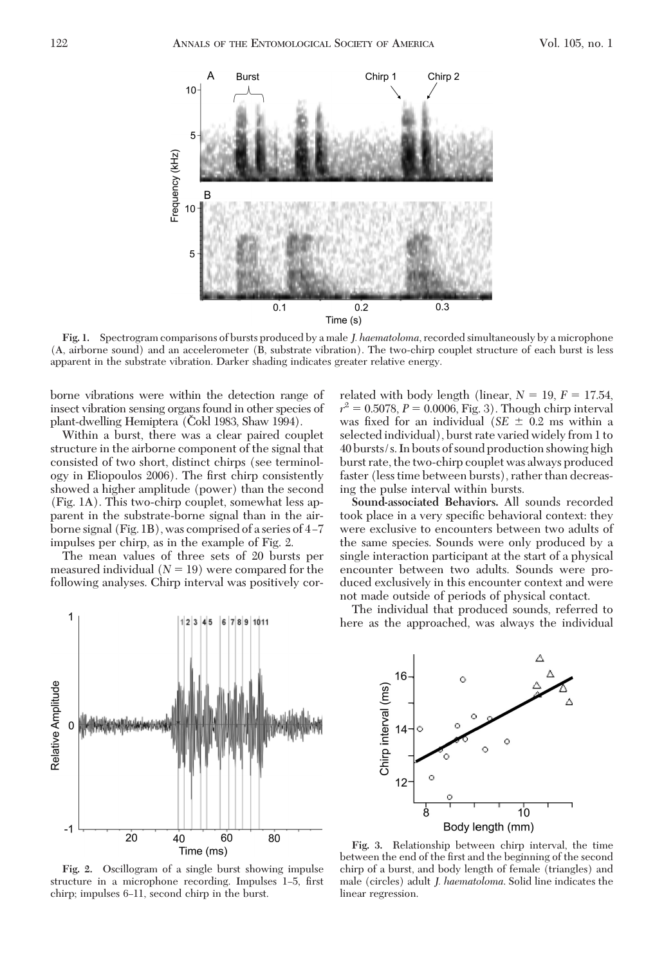

**Fig. 1.** Spectrogram comparisons of bursts produced by a male *J. haematoloma*, recorded simultaneously by a microphone (A, airborne sound) and an accelerometer (B, substrate vibration). The two-chirp couplet structure of each burst is less apparent in the substrate vibration. Darker shading indicates greater relative energy.

borne vibrations were within the detection range of insect vibration sensing organs found in other species of plant-dwelling Hemiptera (Cokl 1983, Shaw 1994).

Within a burst, there was a clear paired couplet structure in the airborne component of the signal that consisted of two short, distinct chirps (see terminology in Eliopoulos 2006). The first chirp consistently showed a higher amplitude (power) than the second (Fig. 1A). This two-chirp couplet, somewhat less apparent in the substrate-borne signal than in the airborne signal (Fig. 1B), was comprised of a series of  $4-7$ impulses per chirp, as in the example of Fig. 2.

The mean values of three sets of 20 bursts per measured individual  $(N = 19)$  were compared for the following analyses. Chirp interval was positively cor-

related with body length (linear,  $N = 19$ ,  $F = 17.54$ ,  $r^2 = 0.5078, P = 0.0006, Fig. 3$ . Though chirp interval was fixed for an individual (*SE*  $\pm$  0.2 ms within a selected individual), burst rate varied widely from 1 to 40 bursts/s. In bouts of sound production showing high burst rate, the two-chirp couplet was always produced faster (less time between bursts), rather than decreasing the pulse interval within bursts.

**Sound-associated Behaviors.** All sounds recorded took place in a very specific behavioral context: they were exclusive to encounters between two adults of the same species. Sounds were only produced by a single interaction participant at the start of a physical encounter between two adults. Sounds were produced exclusively in this encounter context and were not made outside of periods of physical contact.

The individual that produced sounds, referred to here as the approached, was always the individual



**Fig. 2.** Oscillogram of a single burst showing impulse structure in a microphone recording. Impulses 1–5, first chirp; impulses 6-11, second chirp in the burst.



**Fig. 3.** Relationship between chirp interval, the time between the end of the first and the beginning of the second chirp of a burst, and body length of female (triangles) and male (circles) adult *J. haematoloma*. Solid line indicates the linear regression.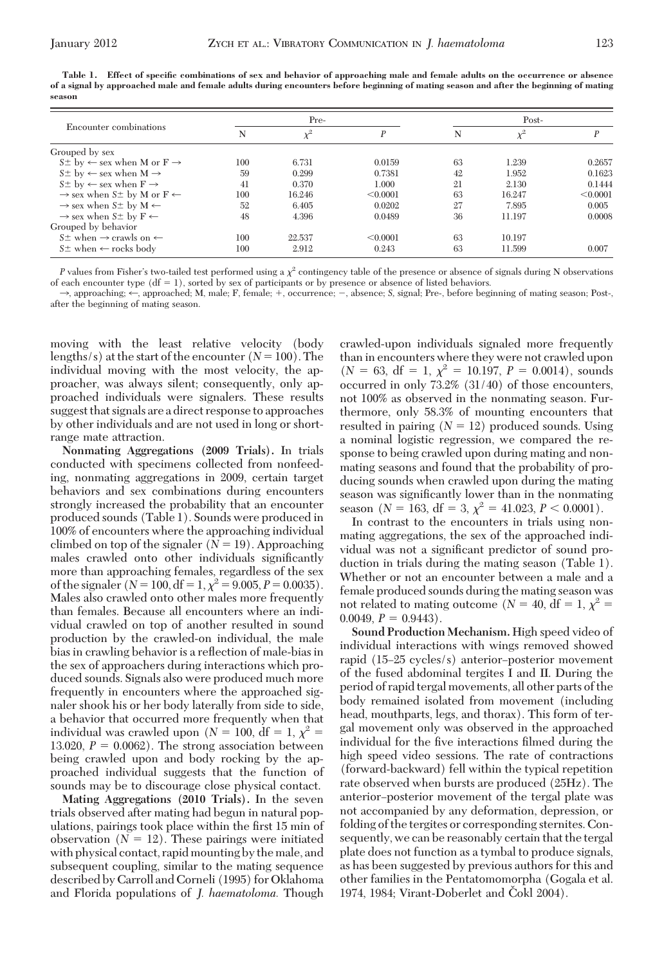|        | Table 1. Effect of specific combinations of sex and behavior of approaching male and female adults on the occurrence or absence        |  |  |  |  |  |
|--------|----------------------------------------------------------------------------------------------------------------------------------------|--|--|--|--|--|
|        | of a signal by approached male and female adults during encounters before beginning of mating season and after the beginning of mating |  |  |  |  |  |
| season |                                                                                                                                        |  |  |  |  |  |

| Encounter combinations                                                      |     | Pre-     |                  | Post- |          |          |
|-----------------------------------------------------------------------------|-----|----------|------------------|-------|----------|----------|
|                                                                             | N   | $\chi^2$ | $\boldsymbol{P}$ | N     | $\chi^2$ |          |
| Grouped by sex                                                              |     |          |                  |       |          |          |
| $S^{\pm}$ by $\leftarrow$ sex when M or $F \rightarrow$                     | 100 | 6.731    | 0.0159           | 63    | 1.239    | 0.2657   |
| $S_{\pm}$ by $\leftarrow$ sex when $M \rightarrow$                          | 59  | 0.299    | 0.7381           | 42    | 1.952    | 0.1623   |
| $S\pm$ by $\leftarrow$ sex when $F \rightarrow$                             | 41  | 0.370    | 1.000            | 21    | 2.130    | 0.1444   |
| $\rightarrow$ sex when S <sup><math>\pm</math></sup> by M or F $\leftarrow$ | 100 | 16.246   | < 0.0001         | 63    | 16.247   | < 0.0001 |
| $\rightarrow$ sex when S <sup><math>\pm</math></sup> by M $\leftarrow$      | 52  | 6.405    | 0.0202           | 27    | 7.895    | 0.005    |
| $\rightarrow$ sex when S <sup><math>\pm</math></sup> by F $\leftarrow$      | 48  | 4.396    | 0.0489           | 36    | 11.197   | 0.0008   |
| Grouped by behavior                                                         |     |          |                  |       |          |          |
| $S^{\pm}$ when $\rightarrow$ crawls on $\leftarrow$                         | 100 | 22.537   | < 0.0001         | 63    | 10.197   |          |
| $S_{\pm}$ when $\leftarrow$ rocks body                                      | 100 | 2.912    | 0.243            | 63    | 11.599   | 0.007    |

*P* values from Fisher's two-tailed test performed using a  $\chi^2$  contingency table of the presence or absence of signals during N observations of each encounter type  $(df = 1)$ , sorted by sex of participants or by presence or absence of listed behaviors.

 $\rightarrow$ , approaching;  $\leftarrow$ , approached; M, male; F, female; +, occurrence; -, absence; *S*, signal; Pre-, before beginning of mating season; Post-, after the beginning of mating season.

moving with the least relative velocity (body lengths/s) at the start of the encounter  $(N = 100)$ . The individual moving with the most velocity, the approacher, was always silent; consequently, only approached individuals were signalers. These results suggest that signals are a direct response to approaches by other individuals and are not used in long or shortrange mate attraction.

**Nonmating Aggregations (2009 Trials).** In trials conducted with specimens collected from nonfeeding, nonmating aggregations in 2009, certain target behaviors and sex combinations during encounters strongly increased the probability that an encounter produced sounds (Table 1). Sounds were produced in 100% of encounters where the approaching individual climbed on top of the signaler  $(N = 19)$ . Approaching males crawled onto other individuals significantly more than approaching females, regardless of the sex of the signaler  $(N = 100, df = 1, \chi^2 = 9.005, P = 0.0035)$ . Males also crawled onto other males more frequently than females. Because all encounters where an individual crawled on top of another resulted in sound production by the crawled-on individual, the male bias in crawling behavior is a reßection of male-bias in the sex of approachers during interactions which produced sounds. Signals also were produced much more frequently in encounters where the approached signaler shook his or her body laterally from side to side, a behavior that occurred more frequently when that individual was crawled upon ( $N = 100$ , df = 1,  $\chi^2$  = 13.020,  $P = 0.0062$ ). The strong association between being crawled upon and body rocking by the approached individual suggests that the function of sounds may be to discourage close physical contact.

**Mating Aggregations (2010 Trials).** In the seven trials observed after mating had begun in natural populations, pairings took place within the first 15 min of observation  $(N = 12)$ . These pairings were initiated with physical contact, rapid mounting by the male, and subsequent coupling, similar to the mating sequence described by Carroll and Corneli (1995) for Oklahoma and Florida populations of *J. haematoloma.* Though

crawled-upon individuals signaled more frequently than in encounters where they were not crawled upon  $(N = 63, df = 1, \chi^2 = 10.197, P = 0.0014)$ , sounds occurred in only 73.2% (31/40) of those encounters, not 100% as observed in the nonmating season. Furthermore, only 58.3% of mounting encounters that resulted in pairing  $(N = 12)$  produced sounds. Using a nominal logistic regression, we compared the response to being crawled upon during mating and nonmating seasons and found that the probability of producing sounds when crawled upon during the mating season was significantly lower than in the nonmating season (*N* = 163, df = 3,  $\chi^2$  = 41.023, *P* < 0.0001).

In contrast to the encounters in trials using nonmating aggregations, the sex of the approached individual was not a significant predictor of sound production in trials during the mating season (Table 1). Whether or not an encounter between a male and a female produced sounds during the mating season was not related to mating outcome ( $N = 40$ , df = 1,  $\chi^2$  =  $0.0049, P = 0.9443$ .

**Sound Production Mechanism.** High speed video of individual interactions with wings removed showed rapid  $(15-25 \text{ cycles/s})$  anterior-posterior movement of the fused abdominal tergites I and II. During the period of rapid tergal movements, all other parts of the body remained isolated from movement (including head, mouthparts, legs, and thorax). This form of tergal movement only was observed in the approached individual for the five interactions filmed during the high speed video sessions. The rate of contractions (forward-backward) fell within the typical repetition rate observed when bursts are produced (25Hz). The anterior–posterior movement of the tergal plate was not accompanied by any deformation, depression, or folding of the tergites or corresponding sternites. Consequently, we can be reasonably certain that the tergal plate does not function as a tymbal to produce signals, as has been suggested by previous authors for this and other families in the Pentatomomorpha (Gogala et al. 1974, 1984; Virant-Doberlet and Čokl 2004).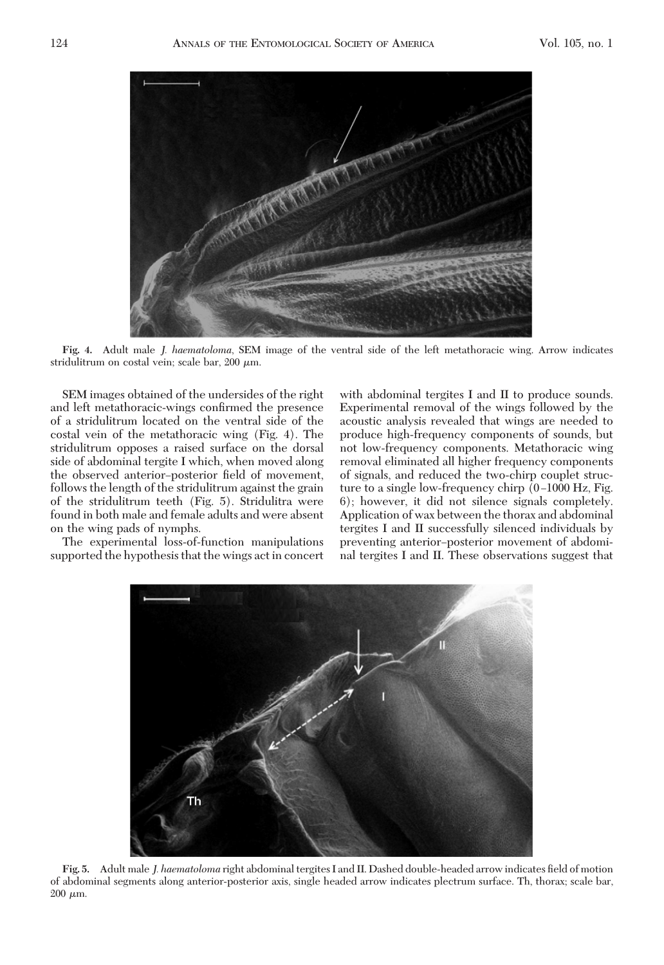

**Fig. 4.** Adult male *J. haematoloma*, SEM image of the ventral side of the left metathoracic wing. Arrow indicates stridulitrum on costal vein; scale bar, 200  $\mu$ m.

SEM images obtained of the undersides of the right and left metathoracic-wings confirmed the presence of a stridulitrum located on the ventral side of the costal vein of the metathoracic wing (Fig. 4). The stridulitrum opposes a raised surface on the dorsal side of abdominal tergite I which, when moved along the observed anterior-posterior field of movement, follows the length of the stridulitrum against the grain of the stridulitrum teeth (Fig. 5). Stridulitra were found in both male and female adults and were absent on the wing pads of nymphs.

The experimental loss-of-function manipulations supported the hypothesis that the wings act in concert

with abdominal tergites I and II to produce sounds. Experimental removal of the wings followed by the acoustic analysis revealed that wings are needed to produce high-frequency components of sounds, but not low-frequency components. Metathoracic wing removal eliminated all higher frequency components of signals, and reduced the two-chirp couplet structure to a single low-frequency chirp (0–1000 Hz, Fig. 6); however, it did not silence signals completely. Application of wax between the thorax and abdominal tergites I and II successfully silenced individuals by preventing anterior–posterior movement of abdominal tergites I and II. These observations suggest that



Fig. 5. Adult male *J. haematoloma* right abdominal tergites I and II. Dashed double-headed arrow indicates field of motion of abdominal segments along anterior-posterior axis, single headed arrow indicates plectrum surface. Th, thorax; scale bar,  $200 \mu m$ .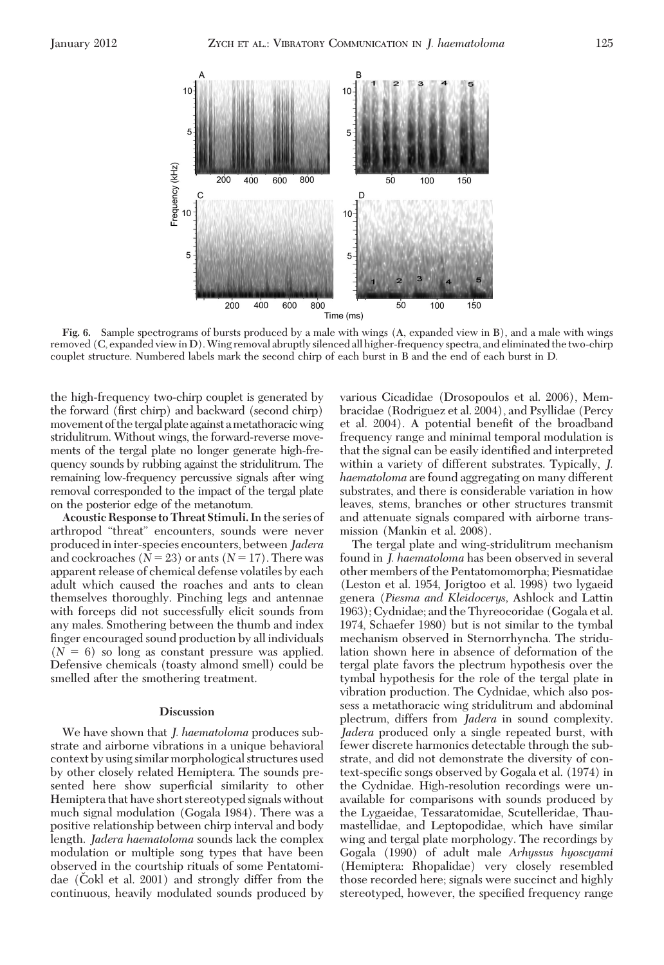

**Fig. 6.** Sample spectrograms of bursts produced by a male with wings (A, expanded view in B), and a male with wings removed (C, expanded viewin D).Wing removal abruptly silenced all higher-frequency spectra, and eliminated the two-chirp couplet structure. Numbered labels mark the second chirp of each burst in B and the end of each burst in D.

the high-frequency two-chirp couplet is generated by the forward (first chirp) and backward (second chirp) movement of the tergal plate against a metathoracic wing stridulitrum. Without wings, the forward-reverse movements of the tergal plate no longer generate high-frequency sounds by rubbing against the stridulitrum. The remaining low-frequency percussive signals after wing removal corresponded to the impact of the tergal plate on the posterior edge of the metanotum.

**Acoustic Response to Threat Stimuli.**In the series of arthropod "threat" encounters, sounds were never producedininter-species encounters, between*Jadera* and cockroaches  $(N = 23)$  or ants  $(N = 17)$ . There was apparent release of chemical defense volatiles by each adult which caused the roaches and ants to clean themselves thoroughly. Pinching legs and antennae with forceps did not successfully elicit sounds from any males. Smothering between the thumb and index Þnger encouraged sound production by all individuals  $(N = 6)$  so long as constant pressure was applied. Defensive chemicals (toasty almond smell) could be smelled after the smothering treatment.

## **Discussion**

We have shown that *J. haematoloma* produces substrate and airborne vibrations in a unique behavioral context by using similar morphological structures used by other closely related Hemiptera. The sounds presented here show superficial similarity to other Hemiptera that have short stereotyped signals without much signal modulation (Gogala 1984). There was a positive relationship between chirp interval and body length. *Jadera haematoloma* sounds lack the complex modulation or multiple song types that have been observed in the courtship rituals of some Pentatomidae (Čokl et al.  $2001$ ) and strongly differ from the continuous, heavily modulated sounds produced by

various Cicadidae (Drosopoulos et al. 2006), Membracidae (Rodriguez et al. 2004), and Psyllidae (Percy et al. 2004). A potential benefit of the broadband frequency range and minimal temporal modulation is that the signal can be easily identified and interpreted within a variety of different substrates. Typically, *J. haematoloma* are found aggregating on many different substrates, and there is considerable variation in how leaves, stems, branches or other structures transmit and attenuate signals compared with airborne transmission (Mankin et al. 2008).

The tergal plate and wing-stridulitrum mechanism found in *J. haematoloma* has been observed in several other members of the Pentatomomorpha; Piesmatidae (Leston et al. 1954, Jorigtoo et al. 1998) two lygaeid genera (*Piesma and Kleidocerys,* Ashlock and Lattin 1963); Cydnidae; and the Thyreocoridae (Gogala et al. 1974, Schaefer 1980) but is not similar to the tymbal mechanism observed in Sternorrhyncha. The stridulation shown here in absence of deformation of the tergal plate favors the plectrum hypothesis over the tymbal hypothesis for the role of the tergal plate in vibration production. The Cydnidae, which also possess a metathoracic wing stridulitrum and abdominal plectrum, differs from *Jadera* in sound complexity. *Jadera* produced only a single repeated burst, with fewer discrete harmonics detectable through the substrate, and did not demonstrate the diversity of context-specific songs observed by Gogala et al. (1974) in the Cydnidae. High-resolution recordings were unavailable for comparisons with sounds produced by the Lygaeidae, Tessaratomidae, Scutelleridae, Thaumastellidae, and Leptopodidae, which have similar wing and tergal plate morphology. The recordings by Gogala (1990) of adult male *Arhyssus hyoscyami* (Hemiptera: Rhopalidae) very closely resembled those recorded here; signals were succinct and highly stereotyped, however, the specified frequency range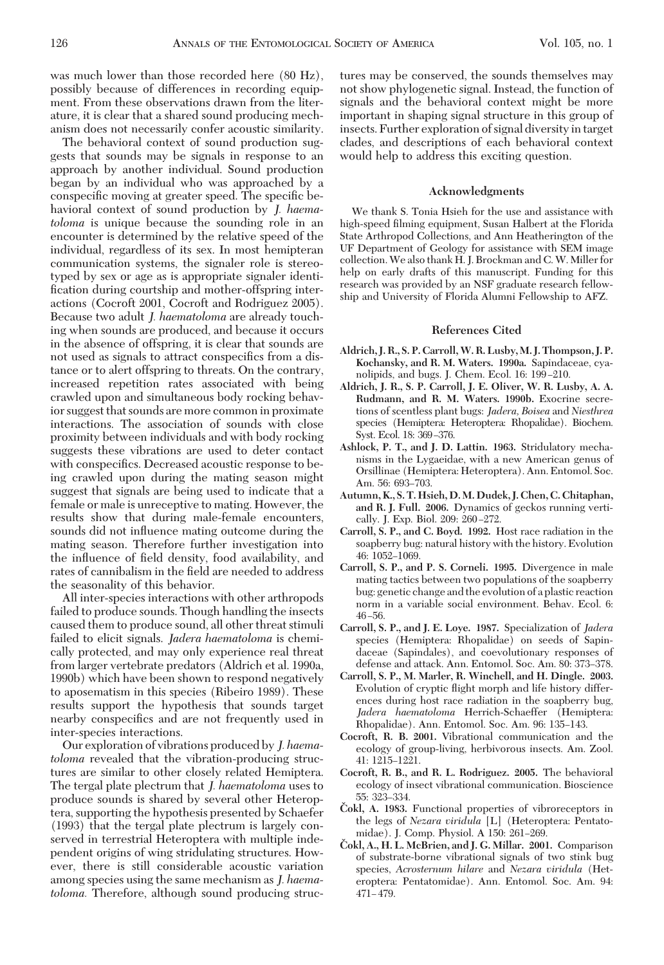was much lower than those recorded here (80 Hz), possibly because of differences in recording equipment. From these observations drawn from the literature, it is clear that a shared sound producing mechanism does not necessarily confer acoustic similarity.

The behavioral context of sound production suggests that sounds may be signals in response to an approach by another individual. Sound production began by an individual who was approached by a conspecific moving at greater speed. The specific behavioral context of sound production by *J. haematoloma* is unique because the sounding role in an encounter is determined by the relative speed of the individual, regardless of its sex. In most hemipteran communication systems, the signaler role is stereotyped by sex or age as is appropriate signaler identification during courtship and mother-offspring interactions (Cocroft 2001, Cocroft and Rodriguez 2005). Because two adult *J. haematoloma* are already touching when sounds are produced, and because it occurs in the absence of offspring, it is clear that sounds are not used as signals to attract conspecifics from a distance or to alert offspring to threats. On the contrary, increased repetition rates associated with being crawled upon and simultaneous body rocking behavior suggest that sounds are more common in proximate interactions. The association of sounds with close proximity between individuals and with body rocking suggests these vibrations are used to deter contact with conspecifics. Decreased acoustic response to being crawled upon during the mating season might suggest that signals are being used to indicate that a female or male is unreceptive to mating. However, the results show that during male-female encounters, sounds did not influence mating outcome during the mating season. Therefore further investigation into the influence of field density, food availability, and rates of cannibalism in the field are needed to address the seasonality of this behavior.

All inter-species interactions with other arthropods failed to produce sounds. Though handling the insects caused them to produce sound, all other threat stimuli failed to elicit signals. *Jadera haematoloma* is chemically protected, and may only experience real threat from larger vertebrate predators (Aldrich et al. 1990a, 1990b) which have been shown to respond negatively to aposematism in this species (Ribeiro 1989). These results support the hypothesis that sounds target nearby conspecifics and are not frequently used in inter-species interactions.

Our exploration of vibrations produced by *J. haematoloma* revealed that the vibration-producing structures are similar to other closely related Hemiptera. The tergal plate plectrum that *J. haematoloma* uses to produce sounds is shared by several other Heteroptera, supporting the hypothesis presented by Schaefer (1993) that the tergal plate plectrum is largely conserved in terrestrial Heteroptera with multiple independent origins of wing stridulating structures. However, there is still considerable acoustic variation among species using the same mechanism as *J. haematoloma.* Therefore, although sound producing structures may be conserved, the sounds themselves may not show phylogenetic signal. Instead, the function of signals and the behavioral context might be more important in shaping signal structure in this group of insects. Further exploration of signal diversity in target clades, and descriptions of each behavioral context would help to address this exciting question.

### **Acknowledgments**

We thank S. Tonia Hsieh for the use and assistance with high-speed filming equipment, Susan Halbert at the Florida State Arthropod Collections, and Ann Heatherington of the UF Department of Geology for assistance with SEM image collection.We also thank H. J. Brockman and C.W. Miller for help on early drafts of this manuscript. Funding for this research was provided by an NSF graduate research fellowship and University of Florida Alumni Fellowship to AFZ.

#### **References Cited**

- **Aldrich, J. R., S. P. Carroll,W. R. Lusby, M. J. Thompson, J. P. Kochansky, and R. M. Waters. 1990a.** Sapindaceae, cyanolipids, and bugs. J. Chem. Ecol. 16: 199-210.
- **Aldrich, J. R., S. P. Carroll, J. E. Oliver, W. R. Lusby, A. A. Rudmann, and R. M. Waters. 1990b.** Exocrine secretions of scentless plant bugs: *Jadera, Boisea* and *Niesthrea* species (Hemiptera: Heteroptera: Rhopalidae). Biochem. Syst. Ecol. 18: 369–376.
- **Ashlock, P. T., and J. D. Lattin. 1963.** Stridulatory mechanisms in the Lygaeidae, with a new American genus of Orsillinae (Hemiptera: Heteroptera). Ann. Entomol. Soc. Am. 56: 693-703.
- **Autumn, K., S. T. Hsieh, D. M. Dudek, J. Chen, C. Chitaphan, and R. J. Full. 2006.** Dynamics of geckos running vertically. J. Exp. Biol. 209: 260-272.
- **Carroll, S. P., and C. Boyd. 1992.** Host race radiation in the soapberry bug: natural history with the history. Evolution 46: 1052-1069.
- **Carroll, S. P., and P. S. Corneli. 1995.** Divergence in male mating tactics between two populations of the soapberry bug: genetic change and the evolution of a plastic reaction norm in a variable social environment. Behav. Ecol. 6:  $46 - 56$
- **Carroll, S. P., and J. E. Loye. 1987.** Specialization of *Jadera* species (Hemiptera: Rhopalidae) on seeds of Sapindaceae (Sapindales), and coevolutionary responses of defense and attack. Ann. Entomol. Soc. Am. 80: 373-378.
- **Carroll, S. P., M. Marler, R. Winchell, and H. Dingle. 2003.** Evolution of cryptic ßight morph and life history differences during host race radiation in the soapberry bug, *Jadera haematoloma* Herrich-Schaeffer (Hemiptera: Rhopalidae). Ann. Entomol. Soc. Am. 96: 135-143.
- **Cocroft, R. B. 2001.** Vibrational communication and the ecology of group-living, herbivorous insects. Am. Zool. 41: 1215-1221.
- **Cocroft, R. B., and R. L. Rodriguez. 2005.** The behavioral ecology of insect vibrational communication. Bioscience 55: 323-334.
- **Cˇ okl, A. 1983.** Functional properties of vibroreceptors in the legs of *Nezara viridula* [L] (Heteroptera: Pentatomidae). J. Comp. Physiol. A 150: 261-269.
- **Cˇ okl, A., H. L. McBrien, and J. G. Millar. 2001.** Comparison of substrate-borne vibrational signals of two stink bug species, *Acrosternum hilare* and *Nezara viridula* (Heteroptera: Pentatomidae). Ann. Entomol. Soc. Am. 94:  $471 - 479.$